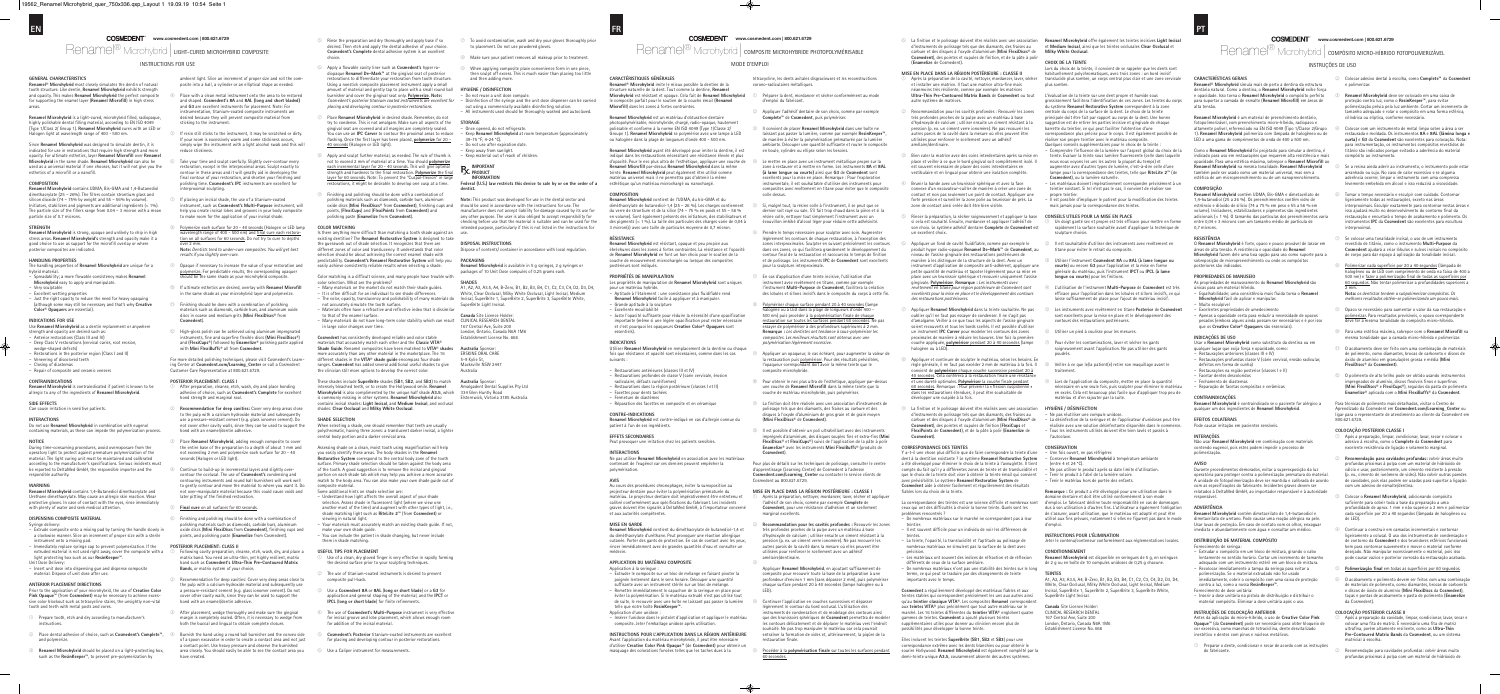### MODE D'EMPLOI

Renamel® Microhybrid | composite microhybride photopolymérisable

### **GENERAL CHARACTERISTICS**

**Renamel® Microhybrid** most closely simulates the dentin of natural tooth structure. Like dentin, **Renamel Microhybrid** exhibits strength and opacity. This makes **Renamel Microhybrid** the perfect composite for supporting the enamel layer (**Renamel Microfill**) in high stress areas.

**Renamel Microhybrid** is a light-cured, microhybrid filled, radiopaque, highly polishable dental filling material, according to EN ISO 4049 (Type 1/Class 2/ Group 1). **Renamel Microhybrid** cures with an LED or Halogen light at wavelength range of 400 - 500 nm.

Since **Renamel Microhybrid** was designed to simulate dentin, it is indicated for use in restorations that require high strength and more opacity. For ultimate esthetics, layer **Renamel Microfill** over **Renamel Microhybrid** in the same shade. **Renamel Microhybrid** can also be used as a universal material if one chooses, but it will not give you the esthetics of a microfill or a nanofill.

### **COMPOSITION**

**Renamel Microhybrid** contains UDMA, Bis-GMA and 1,4-Butanediol dimethacrylate (25 – 26%). The fillers contain strontium glass and silicon dioxide (74 – 75% by weight and 55 – 56% by volume). nitiators, stabilizers and pigments are additional ingredients ( $<\,^{\circ}$ The particle size of the fillers range from 0.04 – 3 micron with a mean particle size of 0.7 microns.

**SIDE EFFECTS** Can cause irritation in sensitive patient

#### **STRENGTH**

**Renamel Microhybrid** is strong, opaque and unlikely to chip in high stress areas. **Renamel Microhybrid's** strength and opacity make it a good choice to use as support for the microfill overlay or where posterior composites are indicated.

**Renamel Microhybrid** contains 1,4-Butanediol dimethacrylate and Urethane dimethacrylate. May cause an allergic skin reaction. Wear protective gloves. In case of contact with the eyes, rinse immediately .<br>with plenty of water and seek medical attention

### **HANDLING PROPERTIES**

- The handling properties of **Renamel Microhybrid** are unique for a hybrid material. – Spreadability; a more flowable consistency makes **Renamel**
- **Microhybrid** easy to apply and manipulate. – Very sculptable
- Excellent wetting properties
- Just the right opacity to reduce the need for heavy opaquing some may still be necessary and that's why **Creative Color® Opaquers** are essential).

### **INDICATIONS FOR USE**

- ambient light. Slice an increment of proper size and roll the composite into a ball, a cylinder or an elliptical shape as needed
- Place with a clean metal instrument onto the area to be restored and shaped. **Cosmedent's 8A** and **8AL (long and short bladed)** and **G3** are excellent instruments for placement. Note: For instrumentation, titanium-coated composite instru desired because they will prevent composite material from sticking to the instrument.
- ⑤ If resin still sticks to the instrument, it may be scratched or dirty. If your room is excessively warm and some stickiness occur simply wipe the instrument with a light alcohol swab and this will reduce stickiness.
- Take your time and sculpt carefully. Slightly over-contour every restoration, except in the interproximal areas. Sculpt exactly to contour in these areas and it will greatly aid in developing the final contour of your restoration, and shorten your finishing and polishing time. **Cosmedent's IPC** instruments are excellent for interproximal sculpting.
- If placing an incisal shade, the use of a titanium-coated instrument, such as **Cosmedent's Multi-Purpose** instrument, will help you create incisal lobes and grooves in your body composite ke room for the application of your incisal shade
- Polymerize each surface for 20 40 seconds (Halogen or LED lamp length range of 400 - 500 nm) and <u>final cure each restora-</u> tion on all surfaces for 60 seconds. Do not try to cure to depths

- Use **Renamel Microhybrid** as a dentin replacement or anywhere rength and opacity are desired such as
- Anterior restorations (Class III and IV) – Deep Class V restorations (cervical caries, root erosion,
- wedge-shaped defects)
- Restorations in the posterior region (Class I and II) – Veneering of discolored teeth
- Closing of diastemas
- Repair of composite and ceramic veneers

### **CONTRAINDICATIONS**

**Renamel Microhybrid** is contraindicated if patient is known to be allergic to any of the ingredients of **Renamel Microhybrid**.

#### **INTERACTIONS**

Do not use **Renamel Microhybrid** in combination with eugenol containing materials, as these can impede the polymerization process.

#### **NOTICE**

During time-consuming procedures, avoid overexposure from the operatory light to protect against premature polymerization of the material. The light curing unit must be maintained and calibrated according to the manufacturer's specifications. Serious incidents mus be reported to DeltaMed GmbH, the responsible importer and the responsible authority.

#### **WARNING**

#### **DISPENSING COMPOSITE MATERIAL**

Syringe delivery:

- Extrude composite onto a mixing pad by turning the handle slowly in a clockwise manner. Slice an increment of proper size with a sterile instrument onto a mixing pad.
- Immediately replace syringe cap to prevent polymerization. If the extruded material is not used right away, cover the composite with a light protecting box such as our **ResinKeeper**™.
- Unit Dose Delivery:
- Insert unit dose into dispensing gun and dispense composite material. Dispose of unit dose after use.

### **ANTERIOR PLACEMENT DIRECTIONS**

Prior to the application of your microhybrid, the use of **Creative Color Pink Opaque™** (from Cosmedent) may be necessary to achie sive color blockout such as tetracycline stains, the unsightly non-vital tooth and teeth with metal posts and cores.

- After preparation, cleanse, etch, wash, dry and place bonding addesive of choice, such as **Cosmedent's Complete** for excellent bond strength and marginal seal.
- ② **Recommendation for deep cavities:** Cover very deep areas close to the pulp with a calcium hydroxide material and subsequentl use a pressure-resistant cement (e.g. glass ionomer cement). Do not cover other cavity walls, since they can be used to support the bond with an enamel/dentin adhesive.
- ③ Place **Renamel Microhybrid**, adding enough composite to cover the entire base of the preparation to a depth of about 1 mm and not exceeding 2 mm and polymerize each surface for 20 - 40 seconds (Halogen or LED light).
- Continue to build-up in incremental layers and slightly over contour the occlusal. The use of **Cosmedent's** condensing and contouring instruments and round ball burnishers will work well to gently contour and move the material to where you want it. Do not over-manipulate material because this could cause voids and later pitting of the finished restoration.
- **Final cure** on all surfaces for 60 seconds.
- ⑥ Finishing and polishing should be done with a combination of polishing materials such as diamonds, carbide burs, aluminum oxide discs (**Mini FlexiDiscs** from **Cosmedent**), finishing cups and points, and polishing paste (**Enamelize** from Cosmedent).

- ① Prepare tooth, etch and dry according to manufacturer's instructions.
- ② Place dental adhesive of choice, such as **Cosmedent's Complete**™, and polymerize.
- ③ **Renamel Microhybrid** should be placed on a light-protecting box, such as the **ResinKeeper**™, to prevent pre-polymerization by
- Following cavity preparation, cleanse, etch, wash, dry, and place a matrix band. You need an ultra-thin, yet highly resilient, matrix band such as **Cosmedent's Ultra-Thin Pre-Contoured Matrix Bands**, or matrix system of your choice.
- Recommendation for deep cavities: Cover very deep areas close to the pulp with a calcium hydroxide material and subsequently use a pressure-resistant cement (e.g. glass ionomer cement). Do not cover other cavity walls, since they can be used to support the bond with an enamel/dentin adhesive.
- After placement, wedge thoroughly and make sure the gingival margin is completely sealed. Often, it is necessary to wedge from both the buccal and lingual to obtain complete closure.
- ④ Burnish the band using a round ball burnisher and the convex side of a spoon excavator in order to create a contact area and not just a contact point. Use heavy pressure and observe the burnished area closely. You should easily be able to see the contact area you have created.
- **www.cosmedent.com | 800.621.6729 State of Apple 2018** Service the preparation and dry thoroughly and apply base if so desired. Then etch and apply the dental adhesive of your choice. **Cosmedent's Complete** dental adhesive system is an excellent choice.
	- ⑥ Apply a flowable cavity liner such as **Cosmedent's** hyper radiopaque **Renamel De-Mark**™ at the gingival seat of posterior restorations to differentiate your restoration from tooth structur Using a nonstick composite placement instrument apply a small amount of material and gently tap to place with a small round ball burnisher and cover the gingival seat only. **Polymerize**. **Note:** *Cosmedent's posterior titanium coated instruments are excellent for placing and developing contour in posterior restorations.*
	- Place Renamel Microhybrid in desired shade. Remember, do no try to condense. This is not amalgam. Make sure all aspects of the  $\widetilde{\phantom{\phi}}$ ngival seat are covered and all margins are completely sealed. Internal cases of **IPC Carver** to contour the proximal areas to reduce flashing. Once the first layer has been placed, **polymerize** for 20 - 40 seconds (Halogen or LED light).
	- $\circledcirc$  Apply and sculpt further material, as needed. The rule of thumb is not to exceed 2 mm of material at a time. You should **polymerize** each incremental layer for 20 - 40 seconds. This will give optimal strength and hardness to the final restoration. **Polymerize** the final <u>layer for 60 seconds</u>. Note: To prevent the "Cuspal-flexion" in large ons, it might be desirable to develop one cusp at a time.
	- ⑨ Finishing and polishing should be done with a combination of polishing materials such as diamonds, carbide burs, aluminum oxide discs (**Mini FlexiDiscs**® from **Cosmedent**), finishing cups and points, (**FlexiCups**) and (**FlexiPoints** from **Cosmedent**) and polishing paste (**Enamelize** from **Cosmedent**).

If there anything more difficult than matching a tooth shade against an existing dentition? The **Renamel Restorative System** is designed to take he guesswork out of shade selection. It recognizes that there are different zones of color and translucency. It understands that color selection should be about achieving the correct enamel shade with **ctability. Cosmedent's Renamel Restorative System** will help y easily achieve consistently reliable results when selecting a shade.

over 2 mm. **Note:** *Dentists tend to under-cure composites. You will get best results if you slightly over-cure.*

- ⑨ Opaque if necessary to increase the value of your restoration and polymerize. For predictable results, the corresponding opaquer showld be the same shade as your microhybrid components.
- ⑩ If ultimate esthetics are desired, overlay with **Renamel Microfill** in the same shade as your microhybrid layer and polymerize.
- $^{\circledR}$   $\;$  Finishing should be done with a combination of polishing materials such as diamonds, carbide burs, and aluminum oxide discs in coarse and medium grits (**Mini FlexiDiscs**® from **Cosmedent**).
- ⑫ High-gloss polish can be achieved using aluminum impregnated instruments, fine and superfine flexible discs (**Mini FlexiDiscs**®) and (**FlexiCups**®) followed by **Enamelize**® polishing paste applied with **Mini FlexiBuffs**® all from **Cosmedent**.

For more detailed polishing techniques, please visit Cosmedent's Learning Center at **Cosmedent.com/Learning\_Center** or call a Cosmedent Customer Care Representative at 800.621.6729.

### **POSTERIOR PLACEMENT: CLASS I**

- Use of a clean, dry gloved finger is very effective in rapidly forming the desired surface prior to your sculpting technique
- The use of titanium-coated instruments is desired to prevent osite pull-back.
- ③ Use a **Cosmedent 8A** or **8AL** (**long or short blade**) or a **G3** for on and general shaping of the material, and the IPCT or **IPCL** (**long or short blade**) for finite refinements.
- ④ The use of **Cosmedent's Multi-Purpose** instrument is very effective for incisal groove and lobe placement, which allows enough room for addition of the incisal material
- ⑤ **Cosmedent's Posterior** titanium-coated instruments are excellent for placing and developing contour in posterior restorations.
- ⑥ Use a Caliper instrument for measurements.
- $\oslash$  To avoid contamination, wash and dry your gloves thoroughly prior to placement. Do not use powdered gloves.
- ⑧ Make sure your patient removes all makeup prior to treatment.
- ⑨ When applying composite place convenience form in one piece, then sculpt off excess. This is much easier than placing too little and then adding more.

– Disinfection of the syringe and the unit dose dispenser can be carried out using a commercially available disinfecting solutio All instruments used should be thoroughly washed and autoclaved

o not use after expiration date. – Keep away from sunlight. – Keep material out of reach of children.

**Renamel Microhybrid** is available in 5 g syringes, 2 g syringes or packages of 10 Unit Dose compules of 0.25 grams each

#### **POSTERIOR PLACEMENT: CLASS II**

### INSTRUCTIONS FOR USE

### **COLOR MATCHING**

Color matching is a difficult science, and many people have trouble with color selection. What are the problems?

- Many materials on the market do not match their shade guides. – It is often difficult for an individual to see shade differences. – The color, opacity, translucency and polishability of many materials do
- not accurately simulate the tooth surface. – Materials often have a refractive and reflective index that is dissimilar
- to that of the enamel surface. – Many materials do not have long-term color stability which can result
- in large color changes over time.

**Cosmedent** has consistently developed reliable and color stable materials that accurately match each other and the **Classic VITA® Shade Guide**. Renamel composites have been matched to **VITA® shades** more accurately than any other material in the marketplace. The 16 different shades in the **VITA® shade guide** encompass four shade ranges. **Cosmedent** has added several additional useful shades to give the clinician still more options to develop the correct color.

> Pour plus de détails sur les techniques de polissage, consulter le centre d'apprentissage (Learning Center) de Cosmedent à l'adresse **Cosmedent.com/Learning\_Center** ou contacter le service clients de nt au 800.621.6729

These shades include **SuperBrite** shades (**SB1**, **SB2**, and **SB3**) to match **Australia** Sponsor: intensely bleached teeth, or to create the Hollywood smile. **Renamel Microhybrid** is also complimented by the unique half shade **A3.5**, which 334 Glen Huntly Road is commonly missing in other systems. **Renamel Microhybrid** also contains incisal shades: **Light Incisal**, and **Medium Incisal**, and occlusal shades: **Clear Occlusal** and **Milky White Occlusal**.

### **SHADE SELECTION**

When selecting a shade, one should remember that teeth are usually polychromatic, having three zones: a translucent darker incisal, a lighter central body portion and a darker cervical area.

Assessing shade on a clean, moist tooth using magnification will help you easily identify these areas. The body shades in the **Renamel Restorative System** correspond to the central body zone of the tooth surface. Primary shade selection should be taken against the body area of the tooth. A good suggestion is to remove the incisal and gingival portion on each shade tab which may help you achieve a more accurat natch to the body area. You can also make your own shade guide out of composite material.

Como o **Renamel Microhybrid** foi projetado para simular a dentina, é indicado para uso em restaurações que requerem alta resistência e mais opacidade. Para uma estética máxima, sobrepor o **Renamel Microfill** ao **Renamel Microhybrid** na mesma tonalidade. **Renamel Microhybrid** bém pode ser usado como um material universal, mas sem a estética de um micropreenchimento ou de um nanopree

- Some additional hints on shade selection are: – Understand how light affects the overall aspect of your shade selection. Assess shade in fluorescent light (where we view one another most of the time) and augment with other types of light, i.e., shade matching light such as **RiteLite 2**™ (from **Cosmedent**) or
- viewing in natural light.  $\overline{\phantom{a}}$  are materials must accurately match an existing shade guide. If not, make your own shade guide.
- You can include the patient in shade changing, but never include them in shade matching.

#### **USEFUL TIPS FOR PLACEMENT**

efeitos em forma de cunha) – Restaurações na região posterior (classes I e II)

Não usar **Renamel Microhybrid** em combinação com materiais contendo eugenol, pois estes podem impedir o processo de

ecimento de seringa – Extrudar o compósito em um bloco de mistura, girando o cabo lentamente no sentido horário. Cortar um incremento de tamanho adequado com um instrumento estéril em um bloco de mistura. – Recolocar imediatamente a tampa da seringa para evitar a polimerização. Se o material extrudado não for usado

#### **HYGIENE / DISINFECTION** – Do not reuse a unit dose compule.

imediatamente, cobrir o compósito com uma caixa de proteção contra a luz, como a nossa **ResinKeeper**™. Fornecimento de dose unitária:

**STORAGE**

– Once opened, do not refrigerate.

– Keep **Renamel Microhybrid** at room temperature (approximately

39-75 °F; 4-24 °C).

**IMPORTANT PRODUCT INFORMATION**

**Federal (U.S.) law restricts this device to sale by or on the order of a**

**dentist.**

**Note:** This product was developed for use in the dental sector and should be used in accordance with the instructions for use. The manufacturer does not accept liability for damage caused by its use for any other purpose. The user is also obliged to accept responsibility for checking before use that the material is suitable and can be used for the intended purpose, particularly if this is not listed in the instructions for

Dispose of contents/ container in accordance with local regulation.

use.

**DISPOSAL INSTRUCTIONS**

**PACKAGING**

**SHADES**

A1, A2, A3, A3.5, A4, B-Zero, B1, B2, B3, B4, C1, C2, C3, C4, D2, D3, D4, White, Clear Occlusal, Milky White Occlusal, Light Incisal, Incisal, SuperBrite 1, SuperBrite 2, SuperBrite 3, SuperBrite White,

SuperBrite Light Incisal. **Canada** Site Licence Holder: CLINICAL RESEARCH DENTAL 167 Central Ave, Suite 200 London, Ontario, Canada N6A 1M6 Establishment License No. 666

**Australia** Sponsor: ERSKINE ORAL CARE 5-9 Kylie St, Macksville NSW 2447 Australia

Amalgadent Dental Supplies Pty Ltd Elsternwick, Victoria 3185 Australia

### **CARACTÉRISTIQUES GÉNÉRALES**

**Renamel® Microhybrid** imite le mieux possible la dentine de la structure naturelle de la dent. Tout comme la dentine, **Renamel Microhybrid** est résistant et opaque. Cela fait de **Renamel Microhybrid** .<br>osite parfait pour le soutien de la couche émail (**Renamel Microfill**) dans les zones à fortes contraintes.

**Renamel Microhybrid** est un matériau d'obturation dentaire photopolymérisable, microhybride, chargé, radio-opaque, hautement polissable et conforme à la norme EN ISO 4049 (Type 1/Classe 2/ Groupe 1). **Renamel Microhybrid** se polymérise avec une lampe à LED ou halogène dans la plage de longueurs d'onde 400 - 500 nm.

**Renamel Microhybrid** ayant été développé pour imiter la dentine, il est indiqué dans les restaurations nécessitant une résistance élevée et plus d'opacité. Pour le nec plus ultra de l'esthétique, appliquer une couche de **Renamel Microfill** par-dessus **Renamel Microhybrid** dans la même teinte. **Renamel Microhybrid** peut également être utilisé comme matériau universel mais il ne permettra pas d'obtenir la même esthétique qu'un matériau microchargé ou nanochargé.

### **COMPOSITION**

**Renamel Microhybrid** contient de l'UDMA, du bis-GMA et du diméthacrylate de butanediol-1,4 (25 – 26 %). Les charges cor du verre de strontium et de la silice (74 – 75 % en poids et 55 – 56 % n volume). Sont également présents des initiateurs, des stabilisments des pigments (< 1 %). La taille des particules des charges varie de 0,04 à 3 micron(s) avec une taille de particules moyenne de 0,7 micron.

### **RÉSISTANCE**

**Renamel Microhybrid** est résistant, opaque et peu propice aux ébréchures dans les zones à fortes contraintes. La résistance et l'opacité de **Renamel Microhybrid** en font un bon choix pour le soutien de la aée ou lorsque des c postérieurs sont indiqués.

### **PROPRIÉTÉS DE MANIPULATION**

- Les propriétés de manipulation de **Renamel Microhybrid** sont uniques pour un matériau hybride.
- Aptitude à l'étalement : une consistance plus fluidifiable rend **Renamel Microhybrid** facile à appliquer et à manipuler. – Grande aptitude à la sculpture
- Excellente mouillabilité – Juste l'opacité suffisante pour réduire la nécessité d'une opacification
- importante (même si une légère opacification peut rester nécessaire et c'est pourquoi les opaqueurs **Creative Color® Opaquers** sont essentiels).

### **INDICATIONS**

- Utiliser **Renamel Microhybrid** en remplacement de la dentine ou chaque fois que résistance et opacité sont nécessaires, comme dans les cas suivants :
- Restaurations antérieures (classes III et IV)
- Restaurations profondes de classe V (carie cervicale, érosion radiculaire, défauts cunéiformes) – Restaurations dans la région postérieure (classes I et II)
- Facettes pour dents tachée
- Fermeture de diastèmes – Réparation des facettes en composite et en céramique

- Après la préparation de la cavité, nettoyer, mordancer, laver, sécher et installer une matrice. Il faut une matrice ultra-fine mais ès résiliente, comme par exemple les matric **Ultra-Thin Pre-Contoured Matrix Bands** de **Cosmedent** ou tout autre système de matrices.
- Recommandation pour les cavités profondes : Recouvrir les zones très profondes proches de la pulpe avec un matériau à base d'hydroxyde de calcium ; utiliser ensuite un ciment résistant à la ession (p. ex. un ciment verre ionomère). Ne pas recouvrir les autres parois de la cavité dans la mesure où elles peuvent être utilisées pour renforcer le scellement avec un adhésif amélaire/dentinaire.
- ③ Bien caler la matrice avec des coins interdentaires après sa mise en place et veiller à ce que le bord gingival soit complètement isolé. Il est souvent nécessaire de placer des coins interdentaires en stibulaire et en lingual pour obtenir une isolation complète
- Brunir la bande avec un brunissoir sphérique et avec la face convexe d'un excavateur-cuiller de manière à créer une zone de contact et non pas seulement un point de contact. Appliquer une forte pression et surveiller la zone polie au brunissoir de près. La zone de contact ainsi créée doit être bien visible.
- Rincer la préparation, la sécher soigneusement et appliquer la base si cela est souhaité. Ensuite, mordancer et appliquer l'adhésif de son choix. Le système adhésif dentaire **Complete** de **Cosmedent** est un excellent choix.
- ⑥ Appliquer un fond de cavité fluidifiable, comme par exemple le produit hyper radio-opaque **Renamel De-Mark**™ de **Cosmedent**, au niveau de l'assise gingivale des restaurations postérieures de manière à les distinguer de la structure de la dent. Avec un instrument d'application de composite anti-adhérent, appliquer une petite quantité de matériau et tapoter légèrement pour sa mise en place avec un brunche avec un brunche et recouvrir uniquement l'assistence de l'assistence de l'assistence de l gingivale. **Polymériser**. **Remarque :** *Les instruments avec revêtement en titane pour région postérieure de Cosmedent sont excellents pour la mise en place et le développement des contours des restaurations postérieures.*
- ⑦ Appliquer **Renamel Microhybrid** dans la teinte souhaitée. Ne pas oublier qu'il ne faut pas essayer de condenser. Il ne s'agit pas d'amalgame. Veiller à ce que tous les aspects de l'assise gingivale soient recouverts et tous les bords scellés. Il est possible d'utilise un instrument **IPC Carver** pour modeler les contours des zones proximales de manière à réduire les bavures. Une fois la première couche appliquée, **polymériser** pendant 20 à 40 secondes (lampe halogène ou à LED).
- Appliquer et continuer de sculpter le matériau, selon les besoins. En règle générale, il ne faut pas excéder 2 mm de matériau à la fois. Il convient de **polymériser** chaque couche successive pendant 20 à 40 secondes. Ce et une dureté optimales. **Polymériser** la couche finale pendant 60 secondes. Remarque : Pour préve tions étendues, il peut être souhaitable de développer une cuspide à la fois.
- ⑨ La finition et le polissage doivent être réalisés avec une association d'instruments de polissage tels que des diamants, des fraises au carbure et des disques à l'oxyde d'aluminium (**Mini FlexiDiscs**® de **Cosmedent**), des pointes et cupules de finition (**FlexiCups** et **FlexiPoints** de **Cosmedent**), et de la pâte à polir (**Enamelize** de **Cosmedent**).
- **CONTRE-INDICATIONS Renamel Microhybrid** est contre-indiqué en cas d'allergie connue du patient à l'un de ses ingrédients.
- **EFFETS SECONDAIRES**
- Peut provoquer une irritation chez les patients sensibles.

#### **INTERACTIONS**

Ne pas utiliser **Renamel Microhybrid** en association avec les matériaux itenant de l'eugénol car ces derniers peuvent empêcher la polymérisation.

### **AVIS**

Au cours des procédures chronophages, éviter la surexposition au projecteur dentaire pour éviter la polymérisation prématurée du matériau. Le projecteur dentaire doit impérativement être entretenu et calibré conformément aux spécifications du fabricant. Les incidents s doivent être signalés à DeltaMed GmbH, à l'importateur concern et aux autorités compétentes.

### **MISE EN GARDE**

**Renamel Microhybrid** contient du diméthacrylate de butanediol-1,4 et du diméthacrylate d'uréthane. Peut provoquer une réaction allergique cutanée. Porter des gants de protection. En cas de contact avec les yeux, rincer immédiatement avec de grandes quantités d'eau et consulter un médecin.

### **APPLICATION DU MATÉRIAU COMPOSITE**

L'évaluation de la teinte sur une dent propre et humide sous nent facilitera l'identification de ces zones. Les teintes du corp du système **Renamel Restorative System** correspondent à la zone centrale du corps de la surface de la dent. Le choix de la teinte principale doit être fait par rapport au corps de la dent. Une bonne suggestion est de retirer les parties incisive et gingivale de chaque bar<br>Fette du teintier, ce qui peut faciliter l'obt correspondance plus précise pour le corps. Il est également possible de réaliser son propre teintier avec le matériau compos émentaires pour le choix de la teinte

- Application à la seringue : – Extruder le composite sur un bloc de mélange en faisant pivoter la poignée lentement dans le sens horaire. Découper une quantité suffisante avec un instrument stérile sur un bloc de mélange. – Remettre immédiatement le capuchon de la seringue en place pour es inclusive in materialisme ne se passion de la comigue en provincialisé toute de la proporcion de la provinc<br>Éviter la polymérisation. Si le matériau extrudé n'est pas util de suite, le recouvrir avec une boîte ne laissant pas passer la lumière telle que notre boîte **ResinKeeper**™.
- Application d'une unidose : – Insérer l'unidose dans le pistolet d'application et appliquer le matériau composite. Jeter l'emballage unidose après utilisation.
- **INSTRUCTIONS POUR L'APPLICATION DANS LA RÉGION ANTÉRIEURE** Avant l'application du matériau microhybride, il peut être nécessaire d'utiliser **Creative Color Pink Opaque**™ (de **Cosmedent**) pour obtenir un masquage des colorations foncées telles que les taches dues à la
- Un doigt ganté sec et propre est très efficace pour mettre en forme rapidement la surface souhaitée avant d'appliquer la technique de sculpture choisie.
- Il est souhaitable d'utiliser des instruments avec revêtement en titane pour éviter le retrait du composite.
- ③ Utiliser l'instrument **Cosmedent 8A** ou **8AL** (**à lame longue ou courte**) ou encore **G3** pour l'application et la mise en forme générale du matériau, puis l'instrument **IPCT** ou **IPCL** (**à lame ongue ou courte**) pour les finitions
- ④ L'utilisation de l'instrument **Multi-Purpose** de **Cosmedent** est très efficace pour l'application dans les lobules et sillons incisifs, ce qui laisse suffisamment de place pour l'ajout de matériau incisif.
- ⑤ Les instruments avec revêtement en titane **Posterior** de **Cosmedent** sont excellents pour la mise en place et le développement des contours des restaurations postérieures.
- ⑥ Utiliser un pied à coulisse pour les mesures.
- Pour éviter les contaminations, laver et sécher les gants signeusement avant l'application. Ne pas utiliser des gants poudrés.
- Veiller à ce que le/la patient(e) retire son maquillage avant le traitemer
- ⑨ Lors de l'application du composite, mettre en place la quantité nécessaire en une seule fois, puis sculpter pour éliminer le matériau en excès. Cela est beaucoup plus facile que d'appliquer trop peu de matériau et d'en rajouter par la suite.

– Ne pas utiliser le produit après sa date limite d'utilisation. – Tenir le produit à l'abri de la lumière solaire. Tenir le matériau hors de portée des enfants

dus à son utilisation à d'autres fins. L'utilisateur a égalem de s'assurer, avant utilisation, que le matériau est adapté et peut être utilisé aux fins prévues, notamment si elles ne figurent pas dans le mode

**Renamel Microhybrid** est disponible en seringues de 5 g, en seringues de 2 g ou en boîte de 10 compules unidoses de 0,25 g chacu

rBrite Light Incisal. **Canada** Site Licence Holder: CLINICAL RESEARCH DENTA 167 Central Ave, Suite 200 London, Ontario, Canada N6A 1M6 Establishment License No. 666

- tétracycline, les dents avitales disgracieuses et les reconstructions o-radiculaires métallique
- ① Préparer la dent, mordancer et sécher conformément au mode d'emploi du fabricant.
- Appliquer l'adhésif dentaire de son choix, comme par exemple **Complete™ de Cosmedent**, puis polymérise
- ③ Il convient de placer **Renamel Microhybrid** dans une boîte ne laissant pas passer la lumière, comme par exemple ResinKeeper de manière à éviter la polymérisation prématurée par la lumière ambiante. Découper une quantité suffisante et rouler le compositente. en boule, cylindre ou ellipse selon les besoins.
- Le mettre en place avec un instrument métallique propre sur la zone à restaurer et à mettre en forme. Les instruments **8A** et **8AL (à lame longue ou courte)** ainsi que **G3** de **Cosmedent** sont excellents pour la mise en place. Remarque : Pour l'exploration instrumentale, il est souhaitable d'utiliser des instruments pour osites avec revêtement en titane pour éviter que le composite colle dessus.
- ⑤ Si, malgré tout, la résine colle à l'instrument, il se peut que ce dernier soit rayé ou sale. S'il fait trop chaud dans la pièce et si la ésine colle, nettoyer tout simplement l'instrument avec un écouvillon imbibé d'alcool léger pour réduire cette adhésivité.
- Prendre le temps nécessaire pour sculpter avec soin. Augmente légèrement les contours de chaque restauration, à l'exception des zonterproximales. Sculpter en suivant précisément les contours dans ces zones, ce qui facilitera grandement le développement du contour final de la restauration et raccourcira le temps de finition et de polissage. Les instruments **IPC** de **Cosmedent** sont excellents pour la sculpture interproximale.
- ⑦ En cas d'application d'une teinte incisive, l'utilisation d'un instrument avec revêtement en titane, comme par exemple l'instrument **Multi-Purpose** de **Cosmedent**, facilitera la création des lobules et sillons incisifs dans le composite du corps à cette fin.
- Polymériser chaque surface pendant 20 à 40 secondes (lampe alogène ou à LED dans la plage de longueurs d'onde 400 500 nm) puis procéder à la polymérisation finale de chaque restauration sur toutes les surfaces pendant 60 secondes. Ne pas sayer de polymériser à des profondeurs supérieures à 2 mm. **Remarque :** *Les dentistes ont tendance à sous-polymériser les composites. Les meilleurs résultats sont obtenus avec une polymérisation légèrement excessive.*
- ⑨ Appliquer un opaqueur, le cas échéant, pour augmenter la valeur de la restauration puis polymériser. Pour des résultats prévisibles, l'opaqueur correspondant doit avoir la même teinte que le composite microhybride.
- ⑩ Pour obtenir le nec plus ultra de l'esthétique, appliquer par-dessus une couche de **Renamel Microfill** dans la même teinte que la he de matériau microhybride, puis polyr.
- ⑪ La finition doit être réalisée avec une association d'instruments de polissage tels que des diamants, des fraises au carbure et des disques à l'oxyde d'aluminium de gros grain et de grain moyen (**Mini FlexiDiscs**® de **Cosmedent**).
- ⑫ Il est possible d'obtenir un poli ultrabrillant avec des instruments imprégnés d'aluminium, des disques souples fins et extra-fins (**Mini FlexiDiscs**® et **FlexiCups**®) suivis de l'application de la pâte à polir **Enamelize**® avec les instruments **Mini FlexiBuffs**® (produits de **Cosmedent**).

- **MISE EN PLACE DANS LA RÉGION POSTÉRIEURE : CLASSE I** Après la préparation, nettoyer, mordancer, laver, sécher et applique l'adhésif de son choix, comme par exemple **Complete** de **Costant**, pour une résistance d'adhésion et un scellement marginal excellents.
- ② **Recommandation pour les cavités profondes :** Recouvrir les zones très profondes proches de la pulpe avec un matériau à base d'hydroxyde de calcium ; utiliser ensuite un ciment résistant à la pression (p. ex. un ciment verre ionomère). Ne pas recouvrir les autres parois de la cavité dans la mesure où elles peuvent être ilisées pour renforcer le scellement avec un adhésif amélaire/dentinaire.
- ③ Appliquer **Renamel Microhybrid**, en ajoutant suffisamment de composite pour recouvrir toute la base de la préparation à une profondeur d'environ 1 mm (sans dépasser 2 mm), puis polvi chaque surface pendant 20 à 40 secondes (lampe halogène ou à LED).
- ④ Continuer l'application en couches successives et dépasser légèrement le contour du bord occlusal. L'utilisation des instruments de condensation et de modelage des contours ainsi que des brunissoirs sphériques de **Cosmedent** permettra de modeler les contours délicatement et de déplacer le matériau vers l'endroit souhaité. Ne pas trop manipuler le matériau car cela pourrait entraîner la formation de vides et, ultérieurement, la piqûre de la estauration finale
- ⑤ Procéder à la **polymérisation finale** sur toutes les surfaces pendant 60 secondes.

### **CARACTERÍSTICAS GERAIS**

**Renamel® Microhybrid** simula mais de perto a dentina da estrutura dentária natural. Como a dentina, o **Renamel Microhybrid** exibe força e opacidade. Isso torna o **Renamel Microhybrid** o compósito perfeito para suportar a camada de esmalte (**Renamel Microfill**) em áreas de

alta tensão.

**Renamel Microhybrid** é um material de preenchimento dentário, fotopolimerizável, com preenchimento micro-híbrido, radiopaco e .<br>mente polível, referenciado na FN ISO 4049 (Tipo 1/Classe 2/Grupo 1). **Renamel Microhybrid** polimeriza com lâmpada de halogêneo ou de LED a uma gama de comprimentos de onda de 400 a 500 nm.

**COMPOSIÇÃO**

**Renamel Microhybrid** contém UDMA, Bis-GMA e dimetacrilato de 1,4-butanodiol (25 a 26 %). Os preenchimentos contêm vidro de estrôncio e dióxido de silício (74 a 75 % em peso e 55 a 56 % em volume). Iniciadores, estabilizadores e pigmentos são ingredientes adicionais (< 1 %). O tamanho das partículas dos preenchi entre 0,04 e 3 mícrons com um tamanho médio de partícula de

0,7 mícrons. **RESISTÊNCIA**

sobreposição de micro

O **Renamel Microhybrid** é forte, opaco e pouco provável de lascar em áreas de alta tensão. A resistência e opacidade do **Renamel Microhybrid** fazem dele uma boa opção para uso como suporte para a posteriores são indicados.

### **PROPRIEDADES DE MANUSEIO**

As propriedades de manuseamento do **Renamel Microhybrid** são únicas para um material híbrido.

– Espalhabilidade; uma consistência mais fluida torna o **Renamel Microhybrid** fácil de aplicar e manipular.

– Muito esculpível

– Excelentes propriedades de umedecimento

– Apenas a opacidade certa para reduzir a necessidade de opacos pesados (embora alguns ainda possam ser necessários e é por isso que os **Creative Color® Opaquers** são essenciais).

**INDICAÇÕES DE USO**

### Usar o **Renamel Microhybrid** como substituto da dentina ou em

qualquer lugar que exija força e opacidade, como:

– Restaurações anteriores (classes III e IV) – Restaurações profundas classe V (cárie cervical, erosão radicular,

- Facetar dentes descoloridos
- Fechamento de diastemas
- Reparação de facetas compósitas e cerâmicas

**CONTRAINDICAÇÕES**

#### **Renamel Microhybrid** é contraindicado se o paciente for alérgico a qualquer um dos ingredientes de **Renamel Microhybrid**.

Pode causar irritação em pacientes sensívei:

**EFEITOS COLATERAIS**

### **INTERAÇÕES**

polimerização.

### **AVISO**

Durante procedimentos demorados, evitar a superexposição da luz operatória para proteger contra a polimerização prematura do material. A unidade de fotopolimerização deve ser mantida e calibrada de acordo com as especificações do fabricante. Incidentes graves devem ser relatados à DeltaMed GmbH, ao importador responsável e à autoridade

responsável. **ADVERTÊNCIA**

**Renamel Microhybrid** contém dimetacrilato de 1,4-butanodiol e dimetacrilato de uretano. Pode causar uma reação alérgica na pele. Usar luvas de proteção. Em caso de contato com os olhos, enxaguar imediata e abundantemente com água e consultar um médico.

### **DISTRIBUIÇÃO DE MATERIAL COMPÓSITO**

– Inserir a dose unitária na pistola de distribuição e distribuir o material compósito. Eliminar a dose unitária após o uso.

### **INSTRUÇÕES DE COLOCAÇÃO ANTERIOR**

Antes da aplicação do micro-híbrido, o uso de **Creative Color Pink Opaque**™ (da **Cosmedent**) pode ser necessário para obter bloqueio de cor excessiva, como manchas de tetraciclina, dente desvitalizado inestético e dentes com pinos e núcleos metálicos.

① Preparar o dente, condicionar e secar de acordo com as instruções

do fabricante.

- ② Colocar adesivo dental à escolha, como **Complete**™ da **Cosmedent** e polimerizar.
- ③ **Renamel Microhybrid** deve ser colocado em uma caixa de proteção contra luz, como o **ResinKeeper**™, para evitar polimerização prévia pela luz ambiente. Cortar um incremento de .<br>tamanho adequado e rolar o compósito em uma forma esférica cilíndrica ou elíptica, conforme necessário.
- ④ Colocar com um instrumento de metal limpo sobre a área a ser restaurada e moldada. Os instrumentos **8A** e **8AL (lâmina longa e curta)** e **G3** da **Cosmedent** são excelentes para colocação. Nota: para instrumentação, os instrumentos compósitos revestidos de titânio são indicados porque evitarão a aderência do material pósito ao instrument
- ⑤ Se a resina ainda aderir ao instrumento, o instrumento pode estar arranhado ou sujo. No caso de calor excessivo e se alguma aderência ocorrer, limpar o instrumento com uma compressa levemente embebida em álcool e isso reduzirá a viscosidade.
- ⑥ Tomar o tempo necessário e esculpir com cuidado. Contornar ligeiramente todas as restaurações, exceto nas áreas interproximais. Esculpir exatamente para contornar nestas áreas e isso ajudará muito no desenvolvimento do contorno final da restauração e encurtará o tempo de acabamento e polimento. Os instrumentos **IPC** da **Cosmedent** são excelentes para escultura interproximal.
- Se colocar uma tonalidade incisal, o uso de um instrumento revestido de titânio, como o instrumento **Multi-Purpose** da **Cosmedent** ajudará a criar lóbulos e sulcos incisais no compósito de corpo para dar espaço à aplicação da tonalidade incisal.
- Polimerizar cada superfície por 20 a 40 segundos (lâmpada de halogêneo ou de LED com comprimento de onda na faixa de 400 a 500 nm) e fazer a polimerização final de todas as superfícies por 60 segundos. Não tentar polimerizar a profundidades superiores a 2 mm. **Nota:** *os dentistas tendem a subpolimerizar compósitos. Os melhores resultados obtêm-se polimerizando um pouco mais.*
- ⑨ Opaco se necessário para aumentar o valor da sua restauração e polimerizar. Para resultados previsíveis, o onaco correspondente deve ter a mesma tonalidade do compósito micro-híbrido.
- ⑩ Para uma estética máxima, sobrepor com o **Renamel Microfill** na mesma tonalidade que a camada micro-híbrida e polimerizar.
- ⑪ O acabamento deve ser feito com uma combinação de materiais de polimento, como diamantes, brocas de carboneto e discos de óxido de alumínio em granulações grossa e média (**Mini FlexiDiscs**® da **Cosmedent**).
- ⑫ O polimento de alto brilho pode ser obtido usando instrumentos impregnados de alumínio, discos flexíveis finos e superfinos (**Mini FlexiDiscs**® e **FlexiCups**®), seguidos da pasta de polimento **Enamelize**® aplicada com o **Mini FlexiBuffs**® da **Cosmedent**.

Para técnicas de polimento mais detalhadas, visitar o Centro de Aprendizado da Cosmedent em **Cosmedent.com/Learning\_Center** ou ligar para o representante de atendimento ao cliente da Cosmedent em 800.621.6729.

### **COLOCAÇÃO POSTERIOR CLASSE I**

- ① Após a preparação, limpar, condicionar, lavar, secar e colocar o adesivo à escolha, como o **Complete** da **Cosmedent** para excelente resistência de ligação e selamento marginal.
- ② **Recomendação para cavidades profundas:** cobrir áreas muito profundas próximas à polpa com um material de hidróxido de cálcio e usar, posteriormente, um cimento resistente à pressão (p. ex., cimento de ionômero de vidro). Não cobrir outras paredes idades, pois elas podem ser usadas para suportar a ligação com um adesivo de esmalte/dentina.
- ③ Colocar o **Renamel Microhybrid**, adicionando compósito suficiente para cobrir toda a base da preparação a uma profundidade de aprox. 1 mm e não superior a 2 mm e polim cada superfície por 20 a 40 segundos (lâmpada de halogêneo ou de LED).
- ④ Continuar a construir em camadas incrementais e contornar ligeiramente a oclusal. O uso dos instrumentos de condensação e de contorno da **Cosmedent** e dos brunidores esféricos funcionará bem para contornar suavemente e mover o material conforme desejado. Não manipular excessivamente o material, pois iss pode causar vazios e posterior corrosão da restauração acabada.
- ⑤ **Polimerização final** em todas as superfícies por 60 segundos.
- ⑥ O acabamento e polimento devem ser feitos com uma combinação de materiais de polimento, como diamantes, brocas de carboneto e discos de óxido de alumínio (**Mini FlexiDiscs** da **Cosmedent**), ças e pontas de acabamento e pasta de polimento (**Ena**i da Cosmedent).

### **COLOCAÇÃO POSTERIOR CLASSE II**

- ① Após a preparação da cavidade, limpar, condicionar, lavar, secar e colocar uma fita de matriz. É necessário uma fita de matriz ultrafina, porém altamente resiliente, como as **Ultra-Thin Pre-Contoured Matrix Bands** da **Cosmedent**, ou um sistema matricial à escolha.
- ② Recomendação para cavidades profundas: cobrir áreas muito profundas próximas à polpa com um material de hidróxido de

## INSTRUÇÕES DE USO

# Renamel® Microhybrid | compósito micro-híbrido fotopolimerizável

d'instruments de polissage tels que des diamants, des fraises au carbure et des disques à l'oxyde d'aluminium (**Mini FlexiDiscs**® de **Milky White Occlusal**. **Cosmedent**), des pointes et cupules de finition, et de la pâte à polir (**Enamelize** de Cosmedent).

### **MISE EN PLACE DANS LA RÉGION POSTÉRIEURE : CLASSE II**

### **CORRESPONDANCE DES TEINTES**

Y a-t-il une chose plus difficile que de faire correspondre la teinte d'une dent à la dentition existante ? Le système **Renamel Restorative System** a été développé pour éliminer le choix de la teinte à l'aveuglette. Il tient compte du fait qu'il y a différentes zones de teinte et de translucidité et que le choix de la teinte doit viser à obtenir la teinte émail qui convient avec prévisibilité. Le système **Renamel Restorative System** de **Cosmedent** aide à obtenir facilement et régulièrement des résultats fiables lors du choix de la teinte.

- La correspondance des teintes est une science difficile et nombreux sont ceux qui ont des difficultés à choisir la bonne teinte. Quels sont les problèmes rencontrés ?
- De nombreux matériaux sur le marché ne correspondent pas à leur teintier. – Il est souvent difficile pour un individu de voir les différences de
- teintes. – La teinte, l'opacité, la translucidité et l'aptitude au polissage de
- nombreux matériaux ne simulent pas la surface de la dent avec précision.
- Les matériaux ont souvent des indices de réfraction et de réflexion différents de ceux de la surface amélaire.
- De nombreux matériaux n'ont pas une stabilité des teintes sur le long terme, ce qui peut se traduire par des changements de teinte
- importants avec le temps.

**Cosmedent** a régulièrement développé des matériaux fiables et aux teintes stables qui correspondent précisément les uns aux autres ainsi qu'au **teintier classique VITA®**. Les composites **Renamel** correspondent aux **teintes VITA®** plus précisément que tout autre matériau sur le marché. Les 16 teintes différentes du **teintier VITA®** englobent quatre gammes de teintes. **Cosmedent** a ajouté plusieurs teintes ires utiles pour donner au clinicien encore plus de possibilités pour développer la bonne teinte.

Elles incluent les teintes **SuperBrite** (**SB1**, **SB2** et **SB3**) pour une correspondance extrême avec les dents blanchies ou pour obtenir le sourire Hollywood. **Renamel Microhybrid** est également complété par la demi-teinte unique **A3.5**, couramment absente des autres systèmes.

**Renamel Microhybrid** offre également les teintes incisives **Light Incisal** et **Medium Incisal**, ainsi que les teintes occlusales **Clear Occlusal** et

### **CHOIX DE LA TEINTE**

Lors du choix de la teinte, il convient de se rappeler que les dents sont lement polychromatiques, avec trois zones : un bord incisif translucide plus sombre, un corps central plus clair et une zone cervicale plus sombre.

- Comprendre l'influence de la lumière sur l'aspect global du choix de la teinte. Évaluer la teinte sous lumière fluorescente (celle dans laquelle nous nous voyons les uns les autres la plupart du temps) et augmenter avec d'autres types de lumière, c'est-à-dire celle d'une lampe pour la correspondance des teintes, telle que **RiteLite 2**™ (de **Cosmedent**), ou la lumière naturelle.
- Les matériaux doivent impérativement correspondre précisément à un teintier existant. Si tel n'est pas le cas, il convient de réaliser son propre teintier.
- Il est possible d'impliquer le patient pour la modification des teintes mais jamais pour la correspondance des teintes.

#### **CONSEILS UTILES POUR LA MISE EN PLACE**

### **HYGIÈNE / DÉSINFECTION**

Une fois ouvert, ne pas réfrigére

– Ne pas réutiliser une compule unidose. – La désinfection de la seringue et de l'applicateur d'unidoses peut être réalisée avec une solution désinfectante disponible dans le commerce. – Tous les instruments utilisés doivent être bien lavés et passés à

 l'autoclave. **CONSERVATION**

– Conserver **Renamel Microhybrid** à température ambiante

(entre 4 et 24 °C).

**Remarque :** Ce produit a été développé pour une utilisation dans le domaine dentaire et doit être utilisé conformément à son mode d'emploi. Le fabricant décline toute responsabilité en cas de dommages

d'emploi.

**INSTRUCTIONS POUR L'ÉLIMINATION**

Jeter le contenu/conteneur conformément aux réglementations locales.

**TEINTES**

**CONDITIONNEMENT** 

A1, A2, A3, A3.5, A4, B-Zero, B1, B2, B3, B4, C1, C2, C3, C4, D2, D3, D4, White, Clear Occlusal, Milky White Occlusal, Light Incisal, Medium Incisal, SuperBrite 1, SuperBrite 2, SuperBrite 3, SuperBrite White,



Renamel® Microhybrid | цвнт-сикер міскончвкір сомроѕіте